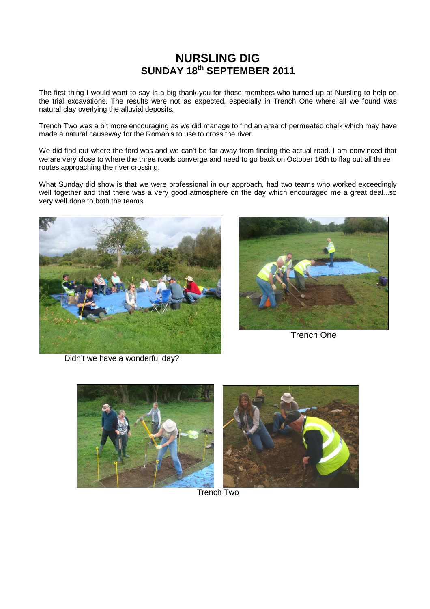## **NURSLING DIG SUNDAY 18th SEPTEMBER 2011**

The first thing I would want to say is a big thank-you for those members who turned up at Nursling to help on the trial excavations. The results were not as expected, especially in Trench One where all we found was natural clay overlying the alluvial deposits.

Trench Two was a bit more encouraging as we did manage to find an area of permeated chalk which may have made a natural causeway for the Roman's to use to cross the river.

We did find out where the ford was and we can't be far away from finding the actual road. I am convinced that we are very close to where the three roads converge and need to go back on October 16th to flag out all three routes approaching the river crossing.

What Sunday did show is that we were professional in our approach, had two teams who worked exceedingly well together and that there was a very good atmosphere on the day which encouraged me a great deal...so very well done to both the teams.





Trench One

Didn't we have a wonderful day?



Trench Two